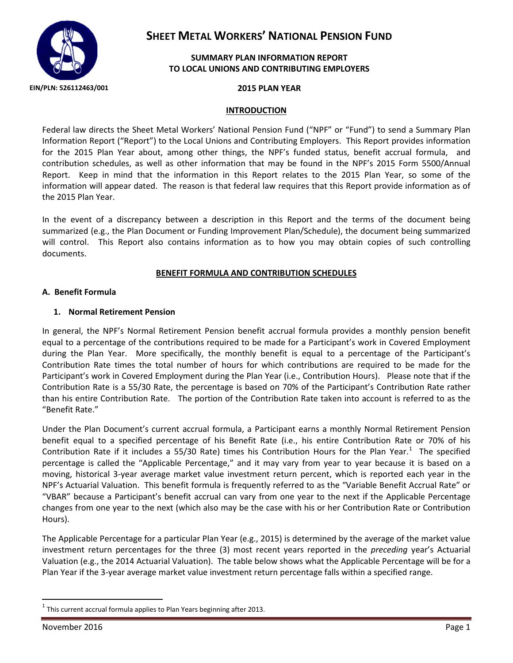

# **SHEET METAL WORKERS' NATIONAL PENSION FUND**

### **SUMMARY PLAN INFORMATION REPORT TO LOCAL UNIONS AND CONTRIBUTING EMPLOYERS**

#### **INTRODUCTION**

Federal law directs the Sheet Metal Workers' National Pension Fund ("NPF" or "Fund") to send a Summary Plan Information Report ("Report") to the Local Unions and Contributing Employers. This Report provides information for the 2015 Plan Year about, among other things, the NPF's funded status, benefit accrual formula, and contribution schedules, as well as other information that may be found in the NPF's 2015 Form 5500/Annual Report. Keep in mind that the information in this Report relates to the 2015 Plan Year, so some of the information will appear dated. The reason is that federal law requires that this Report provide information as of the 2015 Plan Year.

In the event of a discrepancy between a description in this Report and the terms of the document being summarized (e.g., the Plan Document or Funding Improvement Plan/Schedule), the document being summarized will control. This Report also contains information as to how you may obtain copies of such controlling documents.

#### **BENEFIT FORMULA AND CONTRIBUTION SCHEDULES**

#### **A. Benefit Formula**

#### **1. Normal Retirement Pension**

In general, the NPF's Normal Retirement Pension benefit accrual formula provides a monthly pension benefit equal to a percentage of the contributions required to be made for a Participant's work in Covered Employment during the Plan Year. More specifically, the monthly benefit is equal to a percentage of the Participant's Contribution Rate times the total number of hours for which contributions are required to be made for the Participant's work in Covered Employment during the Plan Year (i.e., Contribution Hours). Please note that if the Contribution Rate is a 55/30 Rate, the percentage is based on 70% of the Participant's Contribution Rate rather than his entire Contribution Rate. The portion of the Contribution Rate taken into account is referred to as the "Benefit Rate."

Under the Plan Document's current accrual formula, a Participant earns a monthly Normal Retirement Pension benefit equal to a specified percentage of his Benefit Rate (i.e., his entire Contribution Rate or 70% of his Contribution Rate if it includes a 55/30 Rate) times his Contribution Hours for the Plan Year.<sup>[1](#page-0-0)</sup> The specified percentage is called the "Applicable Percentage," and it may vary from year to year because it is based on a moving, historical 3-year average market value investment return percent, which is reported each year in the NPF's Actuarial Valuation. This benefit formula is frequently referred to as the "Variable Benefit Accrual Rate" or "VBAR" because a Participant's benefit accrual can vary from one year to the next if the Applicable Percentage changes from one year to the next (which also may be the case with his or her Contribution Rate or Contribution Hours).

The Applicable Percentage for a particular Plan Year (e.g., 2015) is determined by the average of the market value investment return percentages for the three (3) most recent years reported in the *preceding* year's Actuarial Valuation (e.g., the 2014 Actuarial Valuation). The table below shows what the Applicable Percentage will be for a Plan Year if the 3-year average market value investment return percentage falls within a specified range.

<span id="page-0-0"></span> <sup>1</sup> This current accrual formula applies to Plan Years beginning after 2013.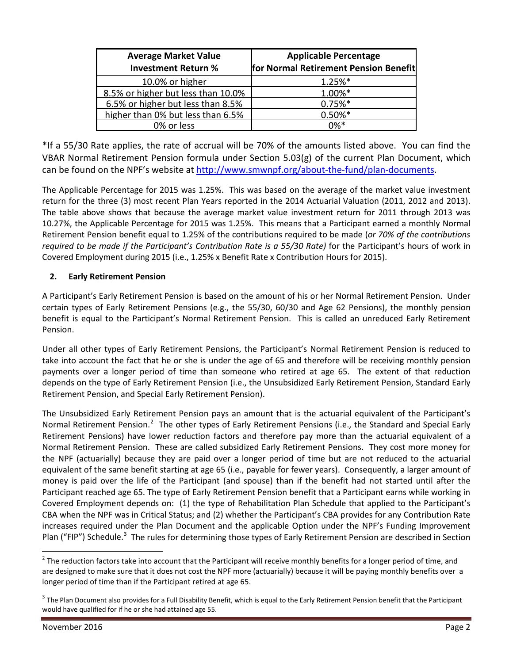| <b>Average Market Value</b><br><b>Investment Return %</b> | <b>Applicable Percentage</b><br>for Normal Retirement Pension Benefit |
|-----------------------------------------------------------|-----------------------------------------------------------------------|
| 10.0% or higher                                           | $1.25%$ *                                                             |
| 8.5% or higher but less than 10.0%                        | 1.00%*                                                                |
| 6.5% or higher but less than 8.5%                         | $0.75%$ *                                                             |
| higher than 0% but less than 6.5%                         | $0.50\%*$                                                             |
| 0% or less                                                | $0\%*$                                                                |

\*If a 55/30 Rate applies, the rate of accrual will be 70% of the amounts listed above. You can find the VBAR Normal Retirement Pension formula under Section 5.03(g) of the current Plan Document, which can be found on the NPF's website at [http://www.smwnpf.org/about-the-fund/plan-documents.](http://www.smwnpf.org/about-the-fund/plan-documents)

The Applicable Percentage for 2015 was 1.25%. This was based on the average of the market value investment return for the three (3) most recent Plan Years reported in the 2014 Actuarial Valuation (2011, 2012 and 2013). The table above shows that because the average market value investment return for 2011 through 2013 was 10.27%, the Applicable Percentage for 2015 was 1.25%. This means that a Participant earned a monthly Normal Retirement Pension benefit equal to 1.25% of the contributions required to be made (*or 70% of the contributions required to be made if the Participant's Contribution Rate is a 55/30 Rate)* for the Participant's hours of work in Covered Employment during 2015 (i.e., 1.25% x Benefit Rate x Contribution Hours for 2015).

# **2. Early Retirement Pension**

A Participant's Early Retirement Pension is based on the amount of his or her Normal Retirement Pension. Under certain types of Early Retirement Pensions (e.g., the 55/30, 60/30 and Age 62 Pensions), the monthly pension benefit is equal to the Participant's Normal Retirement Pension. This is called an unreduced Early Retirement Pension.

Under all other types of Early Retirement Pensions, the Participant's Normal Retirement Pension is reduced to take into account the fact that he or she is under the age of 65 and therefore will be receiving monthly pension payments over a longer period of time than someone who retired at age 65. The extent of that reduction depends on the type of Early Retirement Pension (i.e., the Unsubsidized Early Retirement Pension, Standard Early Retirement Pension, and Special Early Retirement Pension).

The Unsubsidized Early Retirement Pension pays an amount that is the actuarial equivalent of the Participant's Normal Retirement Pension.<sup>[2](#page-1-0)</sup> The other types of Early Retirement Pensions (i.e., the Standard and Special Early Retirement Pensions) have lower reduction factors and therefore pay more than the actuarial equivalent of a Normal Retirement Pension. These are called subsidized Early Retirement Pensions. They cost more money for the NPF (actuarially) because they are paid over a longer period of time but are not reduced to the actuarial equivalent of the same benefit starting at age 65 (i.e., payable for fewer years). Consequently, a larger amount of money is paid over the life of the Participant (and spouse) than if the benefit had not started until after the Participant reached age 65. The type of Early Retirement Pension benefit that a Participant earns while working in Covered Employment depends on: (1) the type of Rehabilitation Plan Schedule that applied to the Participant's CBA when the NPF was in Critical Status; and (2) whether the Participant's CBA provides for any Contribution Rate increases required under the Plan Document and the applicable Option under the NPF's Funding Improvement Plan ("FIP") Schedule.<sup>[3](#page-1-1)</sup> The rules for determining those types of Early Retirement Pension are described in Section

<span id="page-1-0"></span> $2$  The reduction factors take into account that the Participant will receive monthly benefits for a longer period of time, and are designed to make sure that it does not cost the NPF more (actuarially) because it will be paying monthly benefits over a longer period of time than if the Participant retired at age 65.

<span id="page-1-1"></span> $^3$  The Plan Document also provides for a Full Disability Benefit, which is equal to the Early Retirement Pension benefit that the Participant would have qualified for if he or she had attained age 55.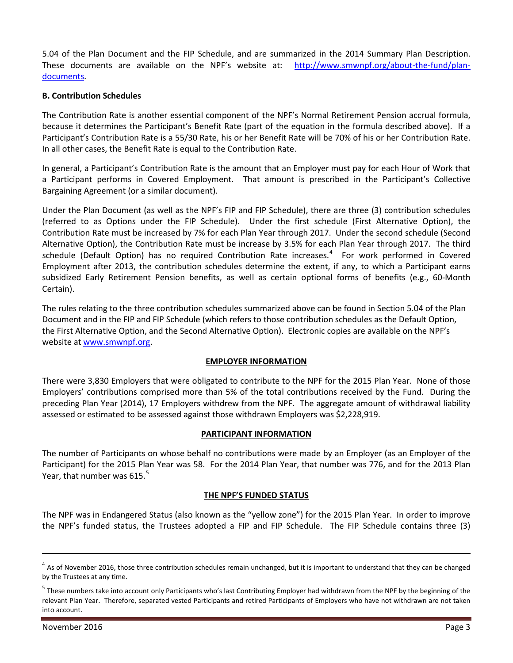5.04 of the Plan Document and the FIP Schedule, and are summarized in the 2014 Summary Plan Description. These documents are available on the NPF's website at: [http://www.smwnpf.org/about-the-fund/plan](http://www.smwnpf.org/about-the-fund/plan-documents)[documents.](http://www.smwnpf.org/about-the-fund/plan-documents)

#### **B. Contribution Schedules**

The Contribution Rate is another essential component of the NPF's Normal Retirement Pension accrual formula, because it determines the Participant's Benefit Rate (part of the equation in the formula described above). If a Participant's Contribution Rate is a 55/30 Rate, his or her Benefit Rate will be 70% of his or her Contribution Rate. In all other cases, the Benefit Rate is equal to the Contribution Rate.

In general, a Participant's Contribution Rate is the amount that an Employer must pay for each Hour of Work that a Participant performs in Covered Employment. That amount is prescribed in the Participant's Collective Bargaining Agreement (or a similar document).

Under the Plan Document (as well as the NPF's FIP and FIP Schedule), there are three (3) contribution schedules (referred to as Options under the FIP Schedule). Under the first schedule (First Alternative Option), the Contribution Rate must be increased by 7% for each Plan Year through 2017. Under the second schedule (Second Alternative Option), the Contribution Rate must be increase by 3.5% for each Plan Year through 2017. The third schedule (Default Option) has no required Contribution Rate increases.<sup>[4](#page-2-0)</sup> For work performed in Covered Employment after 2013, the contribution schedules determine the extent, if any, to which a Participant earns subsidized Early Retirement Pension benefits, as well as certain optional forms of benefits (e.g., 60-Month Certain).

The rules relating to the three contribution schedules summarized above can be found in Section 5.04 of the Plan Document and in the FIP and FIP Schedule (which refers to those contribution schedules as the Default Option, the First Alternative Option, and the Second Alternative Option). Electronic copies are available on the NPF's website a[t www.smwnpf.org.](http://www.smwnpf.org/)

#### **EMPLOYER INFORMATION**

There were 3,830 Employers that were obligated to contribute to the NPF for the 2015 Plan Year. None of those Employers' contributions comprised more than 5% of the total contributions received by the Fund. During the preceding Plan Year (2014), 17 Employers withdrew from the NPF. The aggregate amount of withdrawal liability assessed or estimated to be assessed against those withdrawn Employers was \$2,228,919.

#### **PARTICIPANT INFORMATION**

The number of Participants on whose behalf no contributions were made by an Employer (as an Employer of the Participant) for the 2015 Plan Year was 58. For the 2014 Plan Year, that number was 776, and for the 2013 Plan Year, that number was  $615.^5$  $615.^5$  $615.^5$ 

#### **THE NPF'S FUNDED STATUS**

The NPF was in Endangered Status (also known as the "yellow zone") for the 2015 Plan Year. In order to improve the NPF's funded status, the Trustees adopted a FIP and FIP Schedule. The FIP Schedule contains three (3)

 $\overline{a}$ 

<span id="page-2-0"></span> $4$  As of November 2016, those three contribution schedules remain unchanged, but it is important to understand that they can be changed by the Trustees at any time.

<span id="page-2-1"></span><sup>&</sup>lt;sup>5</sup> These numbers take into account only Participants who's last Contributing Employer had withdrawn from the NPF by the beginning of the relevant Plan Year. Therefore, separated vested Participants and retired Participants of Employers who have not withdrawn are not taken into account.